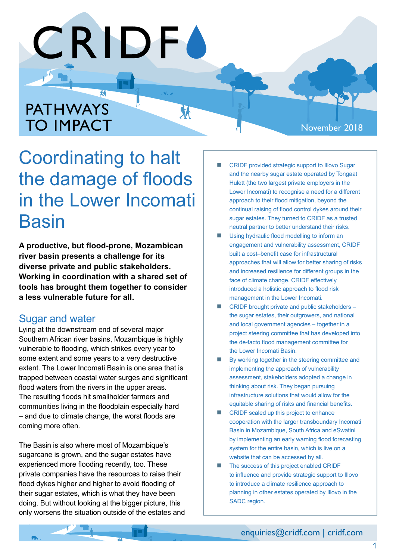# 菞 PATHWAYS TO IMPACT

#### November 2018

# Coordinating to halt the damage of floods in the Lower Incomati **Basin**

**CRIDFA** 

 $\mathbf{v}$ ,  $\mathbf{v}$ 

环

**A productive, but flood-prone, Mozambican river basin presents a challenge for its diverse private and public stakeholders. Working in coordination with a shared set of tools has brought them together to consider a less vulnerable future for all.**

### Sugar and water

Lying at the downstream end of several major Southern African river basins, Mozambique is highly vulnerable to flooding, which strikes every year to some extent and some years to a very destructive extent. The Lower Incomati Basin is one area that is trapped between coastal water surges and significant flood waters from the rivers in the upper areas. The resulting floods hit smallholder farmers and communities living in the floodplain especially hard – and due to climate change, the worst floods are coming more often.

The Basin is also where most of Mozambique's sugarcane is grown, and the sugar estates have experienced more flooding recently, too. These private companies have the resources to raise their flood dykes higher and higher to avoid flooding of their sugar estates, which is what they have been doing. But without looking at the bigger picture, this only worsens the situation outside of the estates and

- n CRIDF provided strategic support to Illovo Sugar and the nearby sugar estate operated by Tongaat Hulett (the two largest private employers in the Lower Incomati) to recognise a need for a different approach to their flood mitigation, beyond the continual raising of flood control dykes around their sugar estates. They turned to CRIDF as a trusted neutral partner to better understand their risks.
- Using hydraulic flood modelling to inform an engagement and vulnerability assessment, CRIDF built a cost–benefit case for infrastructural approaches that will allow for better sharing of risks and increased resilience for different groups in the face of climate change. CRIDF effectively introduced a holistic approach to flood risk management in the Lower Incomati.
- CRIDF brought private and public stakeholders the sugar estates, their outgrowers, and national and local government agencies – together in a project steering committee that has developed into the de-facto flood management committee for the Lower Incomati Basin.
- By working together in the steering committee and implementing the approach of vulnerability assessment, stakeholders adopted a change in thinking about risk. They began pursuing infrastructure solutions that would allow for the equitable sharing of risks and financial benefits.
- CRIDF scaled up this project to enhance cooperation with the larger transboundary Incomati Basin in Mozambique, South Africa and eSwatini by implementing an early warning flood forecasting system for the entire basin, which is live on a website that can be accessed by all.
- The success of this project enabled CRIDF to influence and provide strategic support to Illovo to introduce a climate resilience approach to planning in other estates operated by Illovo in the SADC region.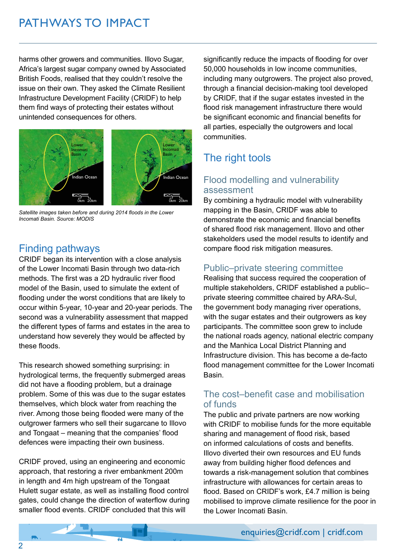# PATHWAYS TO IMPACT

harms other growers and communities. Illovo Sugar, Africa's largest sugar company owned by Associated British Foods, realised that they couldn't resolve the issue on their own. They asked the Climate Resilient Infrastructure Development Facility (CRIDF) to help them find ways of protecting their estates without unintended consequences for others.



*Satellite images taken before and during 2014 floods in the Lower Incomati Basin. Source: MODIS*

## Finding pathways

CRIDF began its intervention with a close analysis of the Lower Incomati Basin through two data-rich methods. The first was a 2D hydraulic river flood model of the Basin, used to simulate the extent of flooding under the worst conditions that are likely to occur within 5-year, 10-year and 20-year periods. The second was a vulnerability assessment that mapped the different types of farms and estates in the area to understand how severely they would be affected by these floods.

This research showed something surprising: in hydrological terms, the frequently submerged areas did not have a flooding problem, but a drainage problem. Some of this was due to the sugar estates themselves, which block water from reaching the river. Among those being flooded were many of the outgrower farmers who sell their sugarcane to Illovo and Tongaat – meaning that the companies' flood defences were impacting their own business.

CRIDF proved, using an engineering and economic approach, that restoring a river embankment 200m in length and 4m high upstream of the Tongaat Hulett sugar estate, as well as installing flood control gates, could change the direction of waterflow during smaller flood events. CRIDF concluded that this will

significantly reduce the impacts of flooding for over 50,000 households in low income communities, including many outgrowers. The project also proved, through a financial decision-making tool developed by CRIDF, that if the sugar estates invested in the flood risk management infrastructure there would be significant economic and financial benefits for all parties, especially the outgrowers and local communities.

## The right tools

#### Flood modelling and vulnerability assessment

By combining a hydraulic model with vulnerability mapping in the Basin, CRIDF was able to demonstrate the economic and financial benefits of shared flood risk management. Illovo and other stakeholders used the model results to identify and compare flood risk mitigation measures.

#### Public–private steering committee

Realising that success required the cooperation of multiple stakeholders, CRIDF established a public– private steering committee chaired by ARA-Sul, the government body managing river operations, with the sugar estates and their outgrowers as key participants. The committee soon grew to include the national roads agency, national electric company and the Manhica Local District Planning and Infrastructure division. This has become a de-facto flood management committee for the Lower Incomati Basin.

#### The cost–benefit case and mobilisation of funds

The public and private partners are now working with CRIDF to mobilise funds for the more equitable sharing and management of flood risk, based on informed calculations of costs and benefits. Illovo diverted their own resources and EU funds away from building higher flood defences and towards a risk-management solution that combines infrastructure with allowances for certain areas to flood. Based on CRIDF's work, £4.7 million is being mobilised to improve climate resilience for the poor in the Lower Incomati Basin.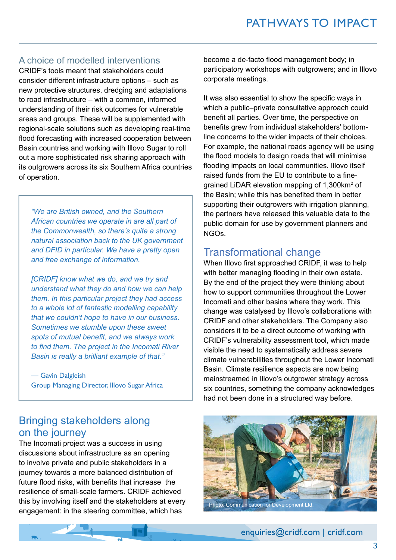#### A choice of modelled interventions

CRIDF's tools meant that stakeholders could consider different infrastructure options – such as new protective structures, dredging and adaptations to road infrastructure – with a common, informed understanding of their risk outcomes for vulnerable areas and groups. These will be supplemented with regional-scale solutions such as developing real-time flood forecasting with increased cooperation between Basin countries and working with Illovo Sugar to roll out a more sophisticated risk sharing approach with its outgrowers across its six Southern Africa countries of operation.

*"We are British owned, and the Southern African countries we operate in are all part of the Commonwealth, so there's quite a strong natural association back to the UK government and DFID in particular. We have a pretty open and free exchange of information.* 

*[CRIDF] know what we do, and we try and understand what they do and how we can help them. In this particular project they had access to a whole lot of fantastic modelling capability that we couldn't hope to have in our business. Sometimes we stumble upon these sweet spots of mutual benefit, and we always work to find them. The project in the Incomati River Basin is really a brilliant example of that."*

— Gavin Dalgleish Group Managing Director, Illovo Sugar Africa

## Bringing stakeholders along on the journey

The Incomati project was a success in using discussions about infrastructure as an opening to involve private and public stakeholders in a journey towards a more balanced distribution of future flood risks, with benefits that increase the resilience of small-scale farmers. CRIDF achieved this by involving itself and the stakeholders at every engagement: in the steering committee, which has

become a de-facto flood management body; in participatory workshops with outgrowers; and in Illovo corporate meetings.

It was also essential to show the specific ways in which a public–private consultative approach could benefit all parties. Over time, the perspective on benefits grew from individual stakeholders' bottomline concerns to the wider impacts of their choices. For example, the national roads agency will be using the flood models to design roads that will minimise flooding impacts on local communities. Illovo itself raised funds from the EU to contribute to a finegrained LiDAR elevation mapping of 1,300km2 of the Basin; while this has benefited them in better supporting their outgrowers with irrigation planning, the partners have released this valuable data to the public domain for use by government planners and NGOs.

#### Transformational change

When Illovo first approached CRIDF, it was to help with better managing flooding in their own estate. By the end of the project they were thinking about how to support communities throughout the Lower Incomati and other basins where they work. This change was catalysed by Illovo's collaborations with CRIDF and other stakeholders. The Company also considers it to be a direct outcome of working with CRIDF's vulnerability assessment tool, which made visible the need to systematically address severe climate vulnerabilities throughout the Lower Incomati Basin. Climate resilience aspects are now being mainstreamed in Illovo's outgrower strategy across six countries, something the company acknowledges had not been done in a structured way before.



enquiries@cridf.com | cridf.com